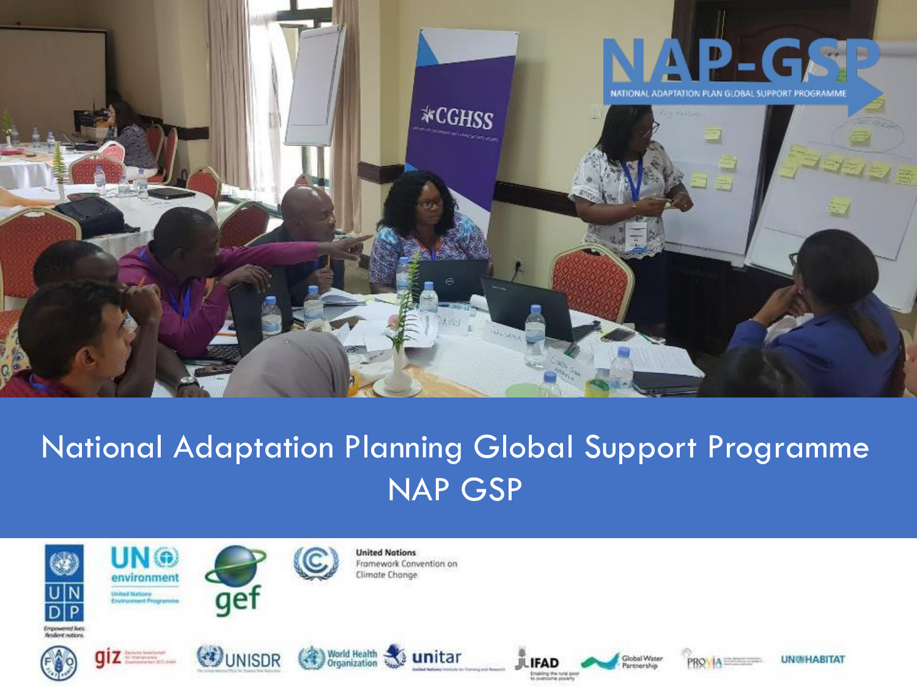

# National Adaptation Planning Global Support Programme NAP GSP



**Employeered But** 







**United Notions** Framework Convention on Climate Change











**UN®HABITAT**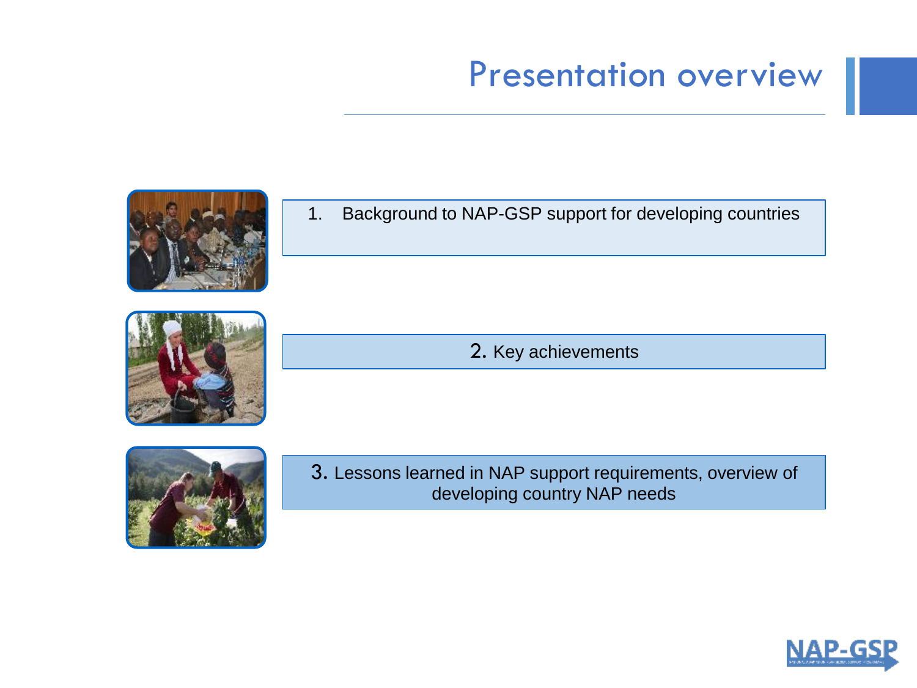# Presentation overview







2. Key achievements



3. Lessons learned in NAP support requirements, overview of developing country NAP needs

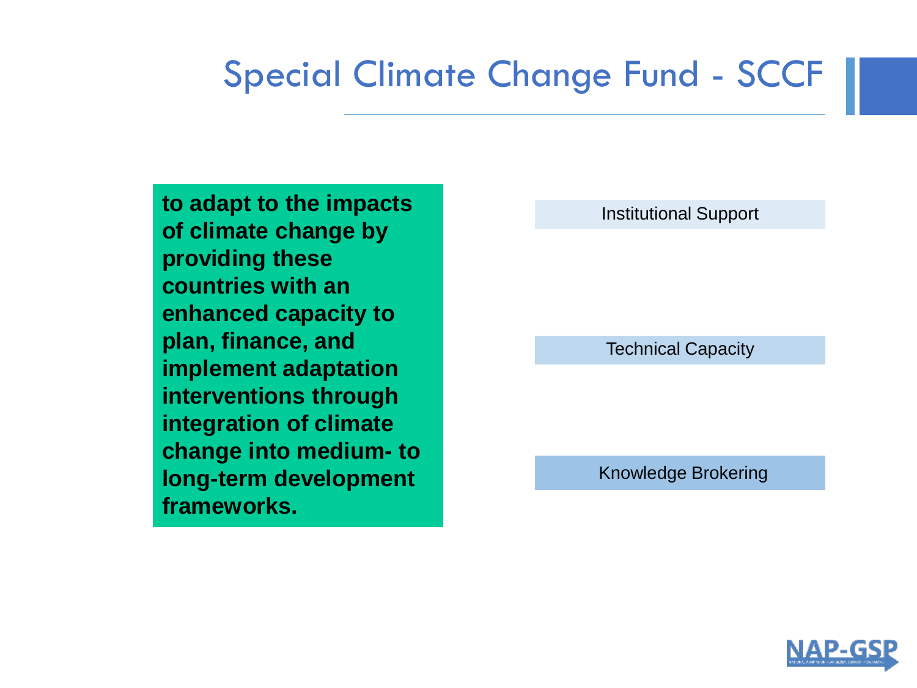# Special Climate Change Fund - SCCF

**to adapt to the impacts of climate change by providing these countries with an enhanced capacity to plan, finance, and implement adaptation interventions through integration of climate change into medium- to long-term development frameworks.**

Institutional Support

Technical Capacity

Knowledge Brokering

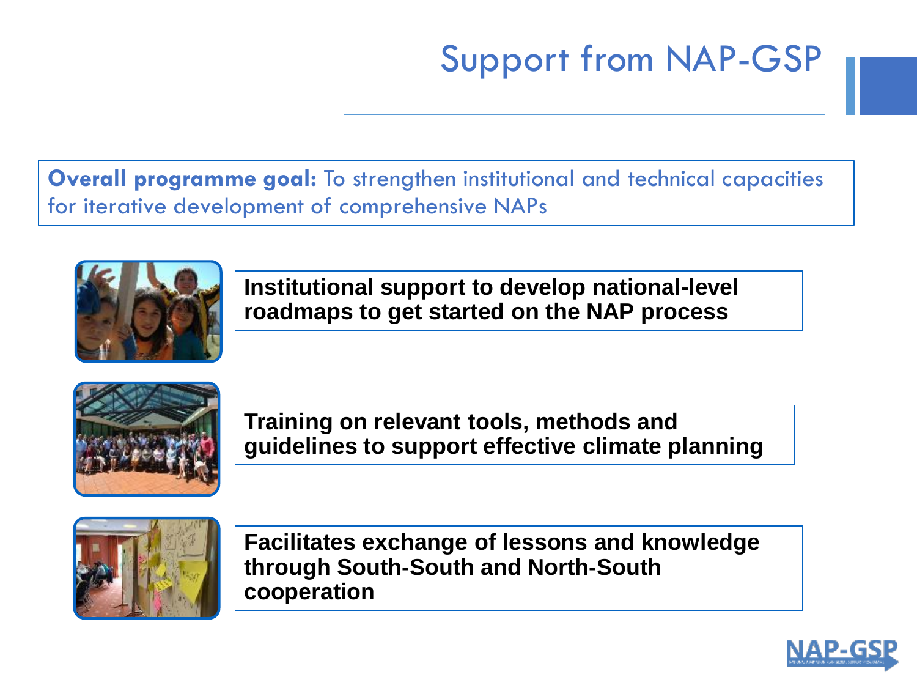# Support from NAP-GSP

**Overall programme goal:** To strengthen institutional and technical capacities for iterative development of comprehensive NAPs



**Institutional support to develop national-level roadmaps to get started on the NAP process**



**Training on relevant tools, methods and guidelines to support effective climate planning**



**Facilitates exchange of lessons and knowledge through South-South and North-South cooperation**

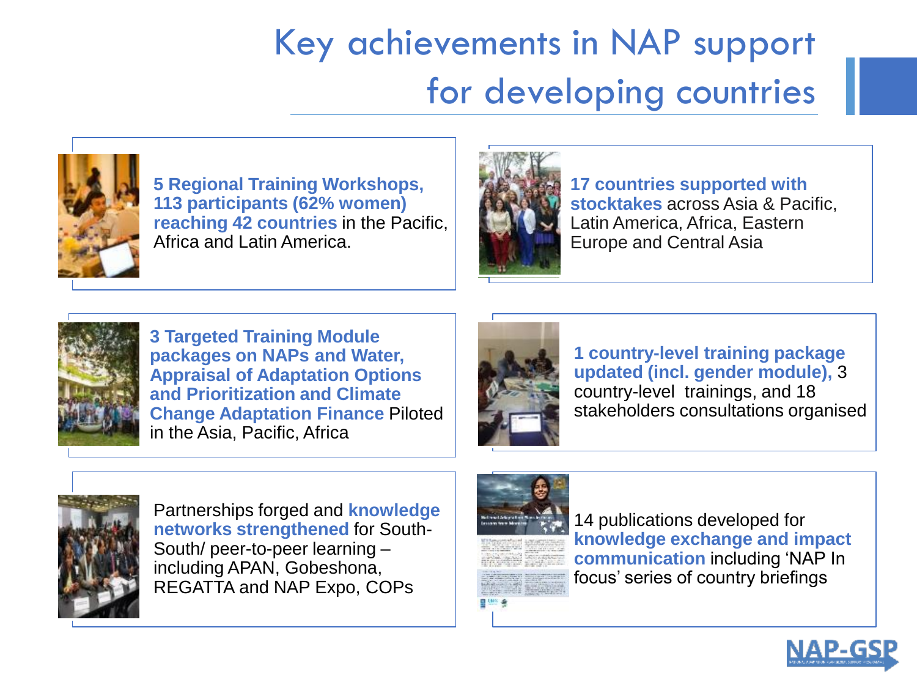# Key achievements in NAP support for developing countries



**5 Regional Training Workshops, 113 participants (62% women) reaching 42 countries** in the Pacific, Africa and Latin America.



**17 countries supported with stocktakes** across Asia & Pacific, Latin America, Africa, Eastern Europe and Central Asia



**3 Targeted Training Module packages on NAPs and Water, Appraisal of Adaptation Options and Prioritization and Climate Change Adaptation Finance** Piloted in the Asia, Pacific, Africa



**1 country-level training package updated (incl. gender module),** 3 country-level trainings, and 18 stakeholders consultations organised



Partnerships forged and **knowledge networks strengthened** for South-South/ peer-to-peer learning – including APAN, Gobeshona, REGATTA and NAP Expo, COPs



14 publications developed for **knowledge exchange and impact communication** including 'NAP In focus' series of country briefings

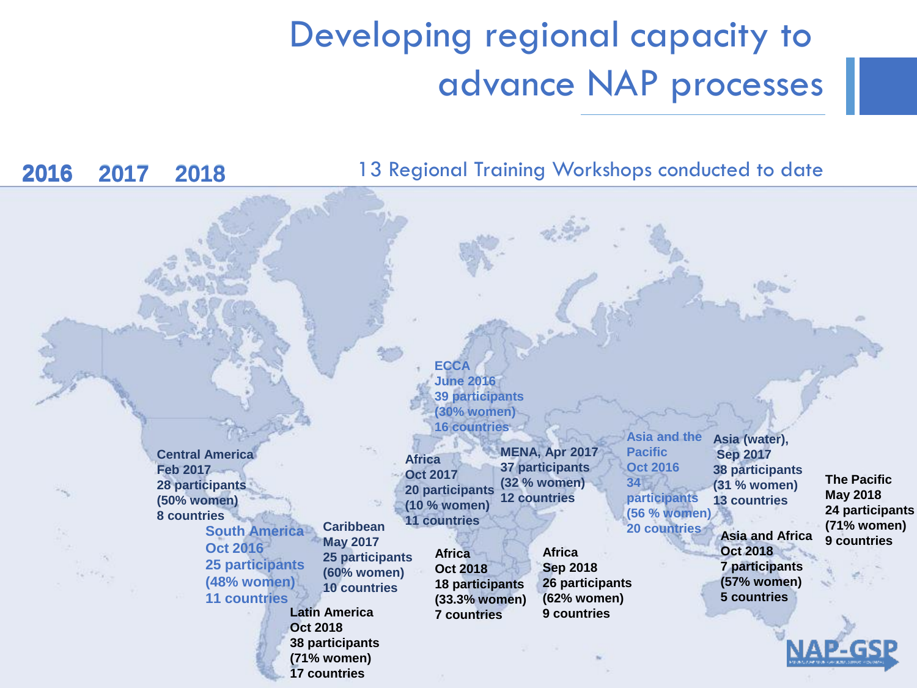# Developing regional capacity to advance NAP processes

13 Regional Training Workshops conducted to date **Caribbean May 2017 25 participants (60% women) 10 countries Central America Feb 2017 28 participants (50% women) 8 countries South America Oct 2016 25 participants (48% women) 11 countries ECCA June 2016 39 participants (30% women) 16 countries Asia (water), Sep 2017 38 participants (31 % women) 13 countries Asia and the Pacific Oct 2016 34 participants (56 % women) 20 countries Africa Sep 2018 26 participants (62% women) 9 countries MENA, Apr 2017 37 participants (32 % women) 12 countries Africa Oct 2017 20 participants (10 % women) 11 countries 2016** 2017 2018 2016 **2016 2017 2018** 2018**The Pacific May 2018 24 participants (71% women) 9 countries Latin America Oct 2018 38 participants (71% women) 17 countries Africa Oct 2018 18 participants (33.3% women) 7 countries Asia and Africa Oct 2018 7 participants (57% women) 5 countries**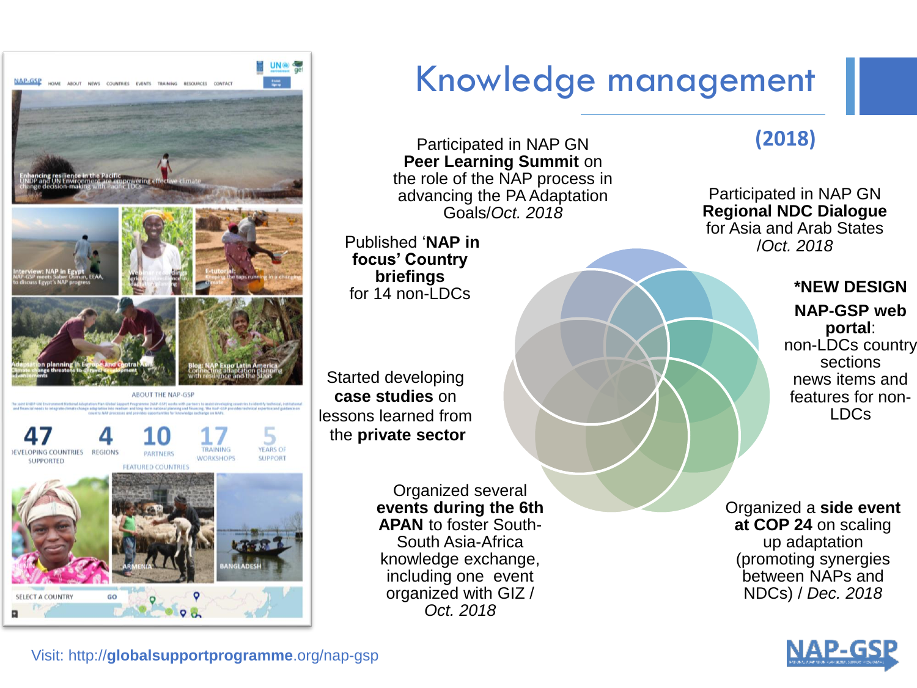

# Knowledge management

Participated in NAP GN **Peer Learning Summit** on the role of the NAP process in advancing the PA Adaptation Goals/*Oct. 2018*

Published '**NAP in focus' Country briefings** for 14 non-LDCs

Started developing **case studies** on lessons learned from the **private sector**

> Organized several **events during the 6th APAN** to foster South-South Asia-Africa knowledge exchange, including one event organized with GIZ / *Oct. 2018*

## **(2018)**

Participated in NAP GN **Regional NDC Dialogue**  for Asia and Arab States /*Oct. 2018*

### **\*NEW DESIGN**

**NAP-GSP web portal**: non-LDCs country sections news items and features for non-LDCs

Organized a **side event at COP 24** on scaling up adaptation (promoting synergies between NAPs and NDCs) / *Dec. 2018* 



Visit: http://**globalsupportprogramme**.org/nap-gsp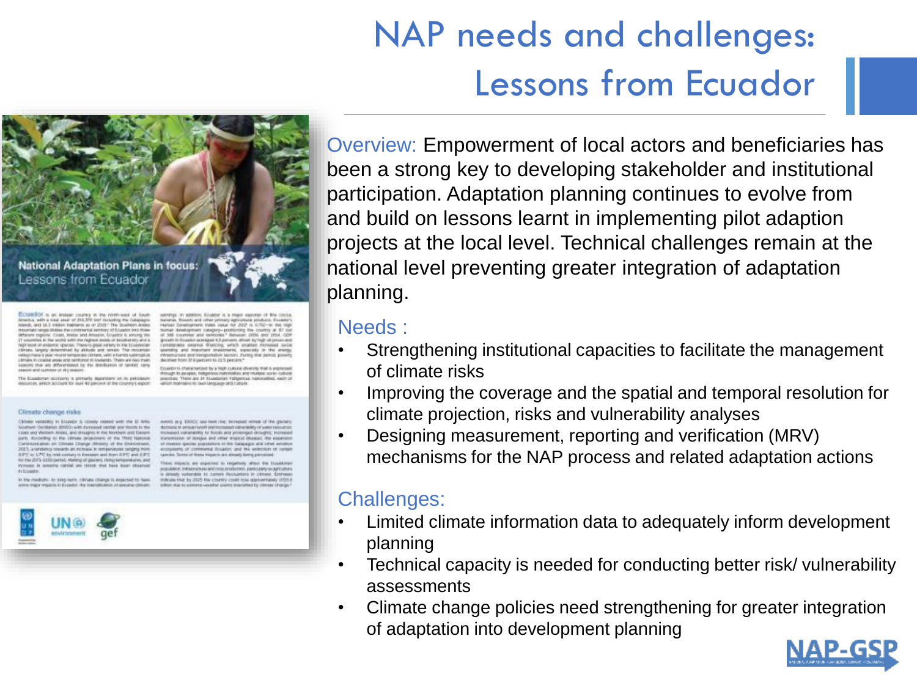# NAP needs and challenges: Lessons from Ecuador



CUANTER to an instead courses in the north-west of setua, with a total ansat of 203, 272 tive! moteding the Catapagne ord to I wake ballance as at 2015. The loadsen Automater of the contract of the state of the state of the state of the state of the state of the state of the state of the state of the state of the state of the state of the In the years with the highest awais of biodiversity and a level of endemic spaces. There's great variety in the Ecolomization of the Ecolomization a jegar vrsond tempionen climans, with a humob subimplica<br>castat areas prof namibility to forelands. There are new tree to this are differentiated by the directors's or render riens **West or dry season** 

an scolaterity is primarily department on its pakings ech account for your 40 percent or the country's export

and and comer petitsary ages Hyther Development trans your Ay 2007 to 5.752-in the high<br>former development category-positioning the country at 87 out<br>at 308 countinus and termines? Benwork (506 and 2014, 609 granatic in focusion prenages: 4.5 painters, driver by High oil potent and certaintante contenut francing serais counter excess<br>secretary and important teachment, expectely in it declined from 37 il pastoleti to 22.5 percent."

Do autor 15 changes stays by a high culture diversity mat is and country is characterized by a repr context energy more capital<br>Presidy its property indigenous rulesmakes and municipal socie-called<br>possibles. There are 34 Essexterian ruleyers a spitualism, welly which maintains is invisionation and cutrinis

#### Climate change risks

tenne vessiely in Etsatic & Steak reased with the E late and of stately way telesco funeared maker (ODM), restabling cast and Workern Analis, and drivinging in the Northern and Eastern<br>arts . According no the 1981ans projections of the Third National enantalea an consist these (Missey at the Outsidewell<br>1. a ordercy could be recours in references segme from 0.012 to: LPC by mid-century is livenant and from 0.012 and 2.012<br>to: the 2015-2120 period: Henriq of glaciers, relegionsperious and<br>more in investig, rankial, are constit that have been ideasted

In the medium - to strep nem, canvas change is expected to han re to Economic the Internation

63, as a TRECK was lower rise: technical on discribing in annual runoff and included vidramidity of water in Increased vulnariability for Norodic and proteinged drosegns), increases s'animistère et dangue and pitsa' impost disasses, the experies of mately quebec populations in the Calapagns and other senditor reness founds, and his extraors of species. Some of these inquirie are already being perceived.

and me expected to response urses the COURSES, PRINTPOTERS SERVICES EFFECTIVE, DRIVING MATERIAL render to current recounters to climpse i Published that the 2025 the country crash loss approximately (2021).

Overview: Empowerment of local actors and beneficiaries has been a strong key to developing stakeholder and institutional participation. Adaptation planning continues to evolve from and build on lessons learnt in implementing pilot adaption projects at the local level. Technical challenges remain at the national level preventing greater integration of adaptation planning.

## Needs :

- Strengthening institutional capacities to facilitate the management of climate risks
- Improving the coverage and the spatial and temporal resolution for climate projection, risks and vulnerability analyses
- Designing measurement, reporting and verification (MRV) mechanisms for the NAP process and related adaptation actions

## Challenges:

- Limited climate information data to adequately inform development planning
- Technical capacity is needed for conducting better risk/ vulnerability assessments
- Climate change policies need strengthening for greater integration of adaptation into development planning



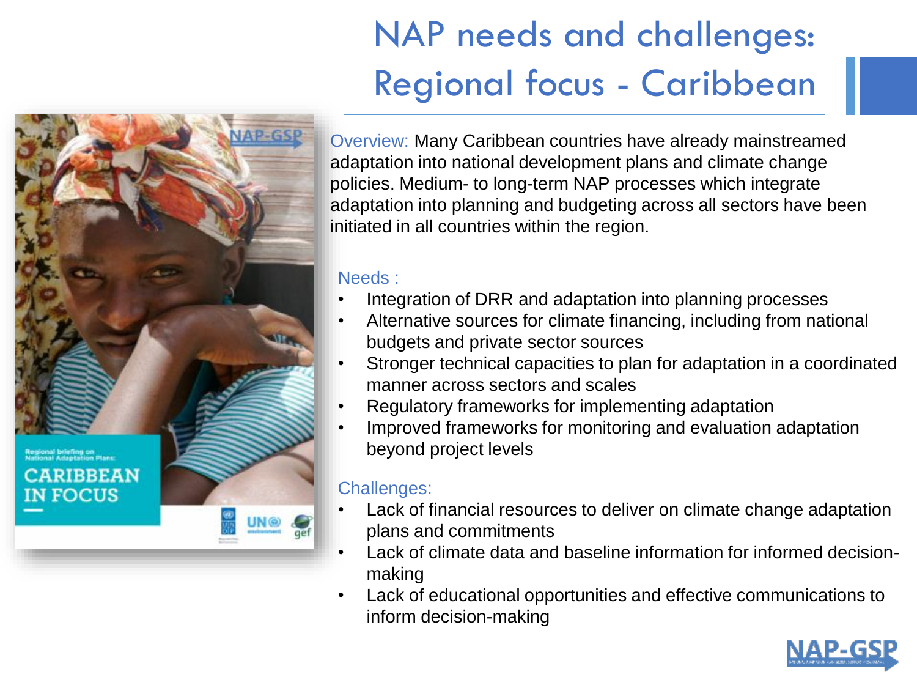# NAP needs and challenges: Regional focus - Caribbean



Overview: Many Caribbean countries have already mainstreamed adaptation into national development plans and climate change policies. Medium- to long-term NAP processes which integrate adaptation into planning and budgeting across all sectors have been initiated in all countries within the region.

### Needs :

- Integration of DRR and adaptation into planning processes
- Alternative sources for climate financing, including from national budgets and private sector sources
- Stronger technical capacities to plan for adaptation in a coordinated manner across sectors and scales
- Regulatory frameworks for implementing adaptation
- Improved frameworks for monitoring and evaluation adaptation beyond project levels

## Challenges:

- Lack of financial resources to deliver on climate change adaptation plans and commitments
- Lack of climate data and baseline information for informed decisionmaking
- Lack of educational opportunities and effective communications to inform decision-making

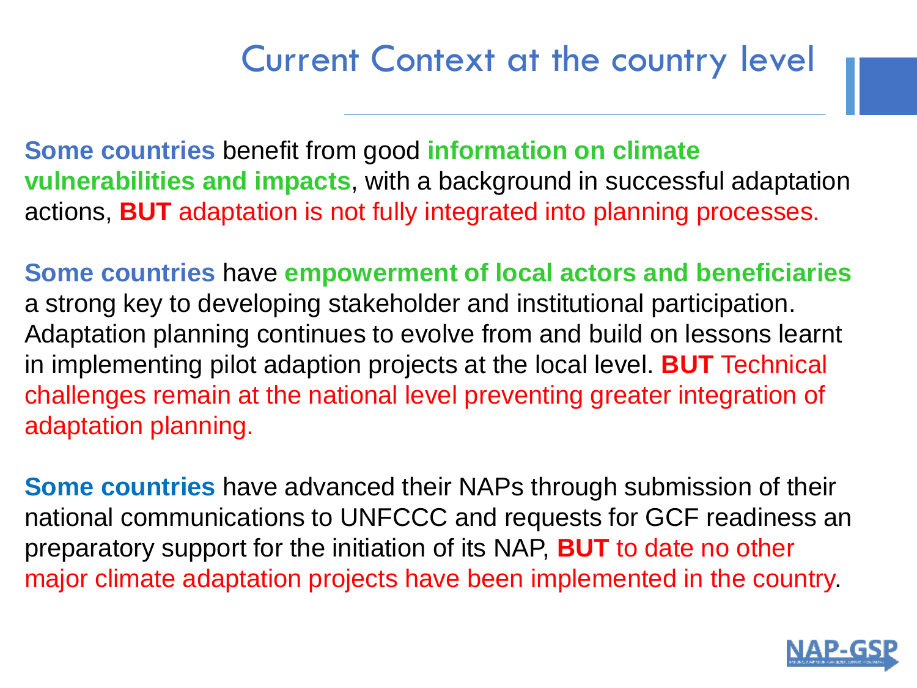# Current Context at the country level

**Some countries** benefit from good **information on climate vulnerabilities and impacts**, with a background in successful adaptation actions, **BUT** adaptation is not fully integrated into planning processes.

**Some countries** have **empowerment of local actors and beneficiaries**  a strong key to developing stakeholder and institutional participation. Adaptation planning continues to evolve from and build on lessons learnt in implementing pilot adaption projects at the local level. **BUT** Technical challenges remain at the national level preventing greater integration of adaptation planning.

**Some countries** have advanced their NAPs through submission of their national communications to UNFCCC and requests for GCF readiness an preparatory support for the initiation of its NAP, **BUT** to date no other major climate adaptation projects have been implemented in the country.

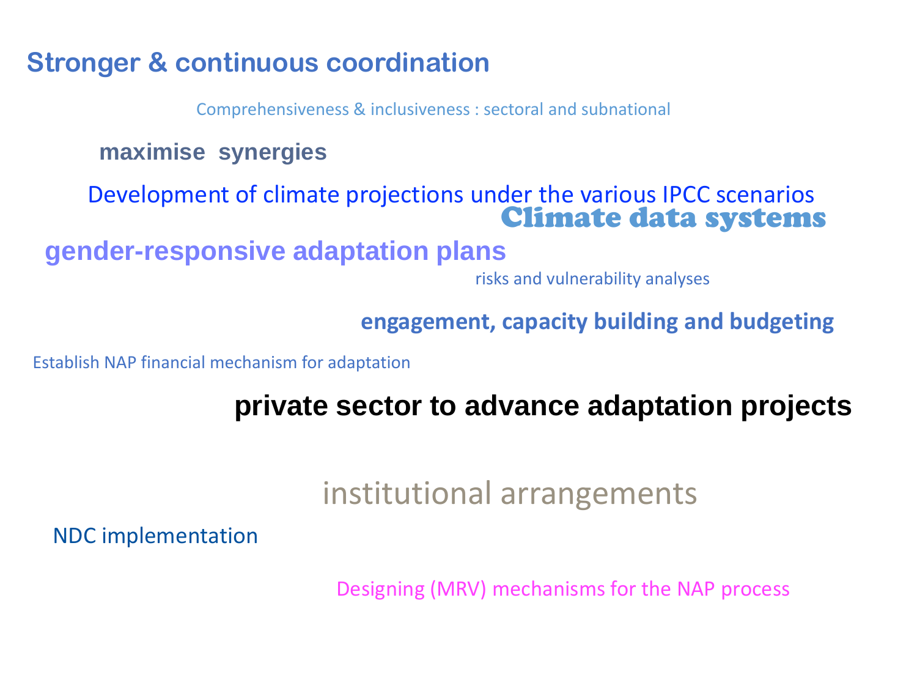## **Stronger & continuous coordination**

Comprehensiveness & inclusiveness : sectoral and subnational

**maximise synergies**

Development of climate projections under the various IPCC scenarios Climate data systems

**gender-responsive adaptation plans**

risks and vulnerability analyses

**engagement, capacity building and budgeting**

Establish NAP financial mechanism for adaptation

**private sector to advance adaptation projects**

institutional arrangements

NDC implementation

Designing (MRV) mechanisms for the NAP process